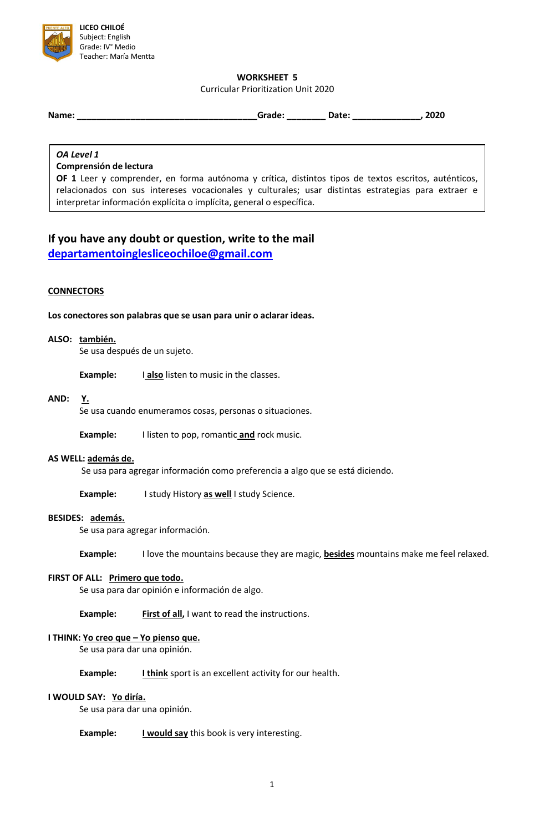

## **WORKSHEET 5**

Curricular Prioritization Unit 2020

**Name: \_\_\_\_\_\_\_\_\_\_\_\_\_\_\_\_\_\_\_\_\_\_\_\_\_\_\_\_\_\_\_\_\_\_\_\_\_Grade: \_\_\_\_\_\_\_\_ Date: \_\_\_\_\_\_\_\_\_\_\_\_\_\_, 2020**

# *OA Level 1*

#### **Comprensión de lectura**

**OF 1** Leer y comprender, en forma autónoma y crítica, distintos tipos de textos escritos, auténticos, relacionados con sus intereses vocacionales y culturales; usar distintas estrategias para extraer e interpretar información explícita o implícita, general o específica.

# **If you have any doubt or question, write to the mail [departamentoinglesliceochiloe@gmail.com](mailto:departamentoinglesliceochiloe@gmail.com)**

#### **CONNECTORS**

**Los conectores son palabras que se usan para unir o aclarar ideas.**

#### **ALSO: también.**

Se usa después de un sujeto.

**Example:** I **also** listen to music in the classes.

#### **AND: Y.**

Se usa cuando enumeramos cosas, personas o situaciones.

**Example:** I listen to pop, romantic **and** rock music.

#### **AS WELL: además de.**

Se usa para agregar información como preferencia a algo que se está diciendo.

**Example:** I study History **as well** I study Science.

#### **BESIDES: además.**

Se usa para agregar información.

**Example:** I love the mountains because they are magic, **besides** mountains make me feel relaxed.

#### **FIRST OF ALL: Primero que todo.**

Se usa para dar opinión e información de algo.

**Example:** First of all, I want to read the instructions.

#### **I THINK: Yo creo que – Yo pienso que.**

Se usa para dar una opinión.

**Example: I think** sport is an excellent activity for our health.

## **I WOULD SAY: Yo diría.**

Se usa para dar una opinión.

**Example: I would say** this book is very interesting.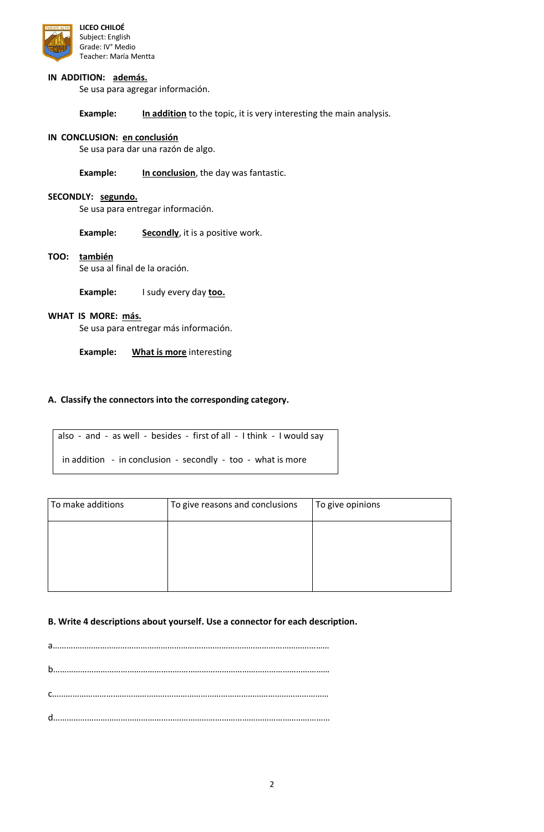

#### **IN ADDITION: además.**

Se usa para agregar información.

**Example: In addition** to the topic, it is very interesting the main analysis.

#### **IN CONCLUSION: en conclusión**

Se usa para dar una razón de algo.

**Example: In conclusion**, the day was fantastic.

#### **SECONDLY: segundo.**

Se usa para entregar información.

**Example: Secondly**, it is a positive work.

#### **TOO: también**

Se usa al final de la oración.

**Example:** I sudy every day **too.**

#### **WHAT IS MORE: más.**

Se usa para entregar más información.

**Example: What is more** interesting

#### **A. Classify the connectors into the corresponding category.**

also - and - as well - besides - first of all - I think - I would say in addition - in conclusion - secondly - too - what is more

| To make additions | To give reasons and conclusions | To give opinions |
|-------------------|---------------------------------|------------------|
|                   |                                 |                  |
|                   |                                 |                  |
|                   |                                 |                  |

#### **B. Write 4 descriptions about yourself. Use a connector for each description.**

a…………………………………………………………………………………………………………… b…………………………………………………………………………………………………………… c…………………………………………………………………………………………………………… d……………………………………………………………………………………………………………